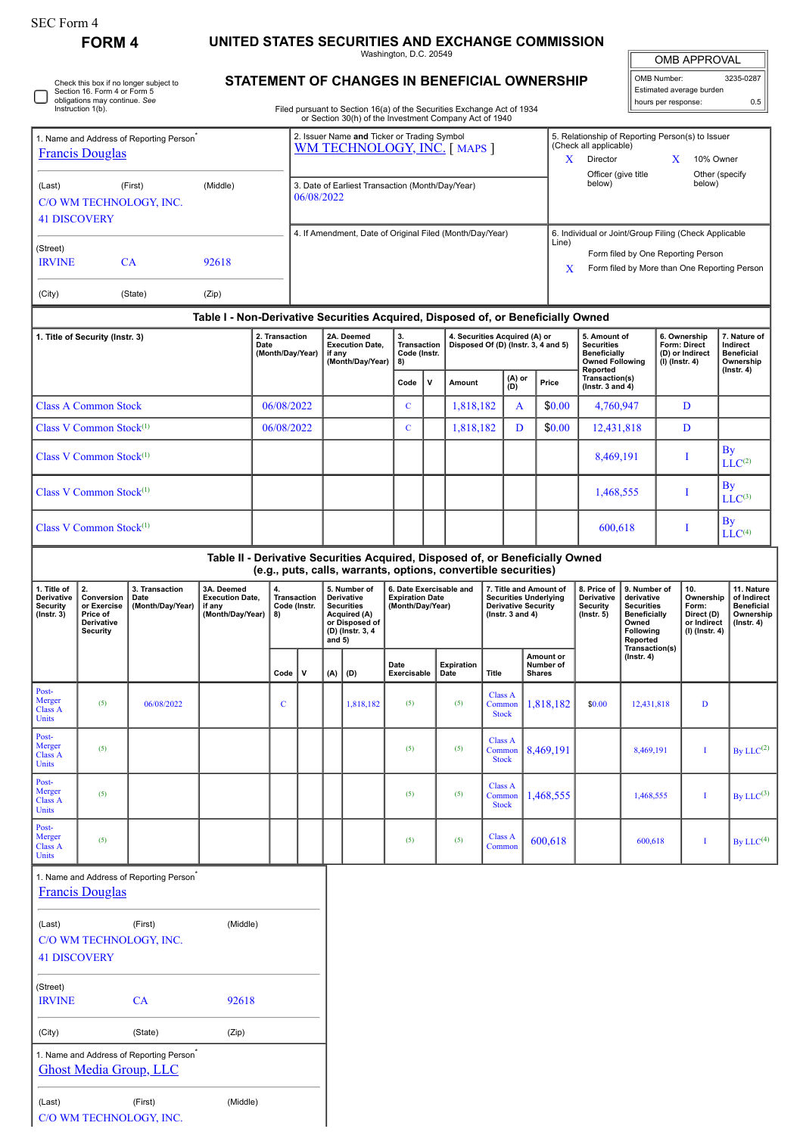**FORM 4 UNITED STATES SECURITIES AND EXCHANGE COMMISSION** Washington, D.C. 20549

OMB APPROVAL

|                                                                                                                              |         |                                            |            |                                                                             |                                                                                                                                                                                         |              |                                                                      |           |               |                                                                             |                                                                                                                                             | UMB APPRUVAL                                                   |                                              |  |
|------------------------------------------------------------------------------------------------------------------------------|---------|--------------------------------------------|------------|-----------------------------------------------------------------------------|-----------------------------------------------------------------------------------------------------------------------------------------------------------------------------------------|--------------|----------------------------------------------------------------------|-----------|---------------|-----------------------------------------------------------------------------|---------------------------------------------------------------------------------------------------------------------------------------------|----------------------------------------------------------------|----------------------------------------------|--|
| Check this box if no longer subject to<br>Section 16. Form 4 or Form 5<br>obligations may continue. See<br>Instruction 1(b). |         |                                            |            |                                                                             | <b>STATEMENT OF CHANGES IN BENEFICIAL OWNERSHIP</b><br>Filed pursuant to Section 16(a) of the Securities Exchange Act of 1934<br>or Section 30(h) of the Investment Company Act of 1940 |              |                                                                      |           |               |                                                                             |                                                                                                                                             | OMB Number:<br>Estimated average burden<br>hours per response: | 3235-0287<br>0.5                             |  |
| 1. Name and Address of Reporting Person <sup>®</sup><br><b>Francis Douglas</b>                                               |         |                                            |            | 2. Issuer Name and Ticker or Trading Symbol<br>WM TECHNOLOGY, INC. [ MAPS ] |                                                                                                                                                                                         |              |                                                                      |           |               |                                                                             | (Check all applicable)<br>Director                                                                                                          | 5. Relationship of Reporting Person(s) to Issuer<br>X          | 10% Owner                                    |  |
| (First)<br>(Middle)<br>(Last)<br>C/O WM TECHNOLOGY, INC.<br><b>41 DISCOVERY</b>                                              |         |                                            |            | 3. Date of Earliest Transaction (Month/Day/Year)<br>06/08/2022              |                                                                                                                                                                                         |              |                                                                      |           |               |                                                                             | Officer (give title<br>Other (specify<br>below)<br>below)                                                                                   |                                                                |                                              |  |
| (Street)<br><b>IRVINE</b>                                                                                                    | CA      | 92618                                      |            |                                                                             | 4. If Amendment, Date of Original Filed (Month/Day/Year)                                                                                                                                |              |                                                                      |           |               | Line)<br>X                                                                  | 6. Individual or Joint/Group Filing (Check Applicable<br>Form filed by One Reporting Person<br>Form filed by More than One Reporting Person |                                                                |                                              |  |
| (City)                                                                                                                       | (State) | (Zip)                                      |            |                                                                             |                                                                                                                                                                                         |              |                                                                      |           |               |                                                                             |                                                                                                                                             |                                                                |                                              |  |
|                                                                                                                              |         |                                            |            |                                                                             | Table I - Non-Derivative Securities Acquired, Disposed of, or Beneficially Owned                                                                                                        |              |                                                                      |           |               |                                                                             |                                                                                                                                             |                                                                |                                              |  |
| 1. Title of Security (Instr. 3)                                                                                              |         | 2. Transaction<br>Date<br>(Month/Day/Year) |            | 2A. Deemed<br><b>Execution Date.</b><br>if any<br>(Month/Day/Year)          | 3.<br><b>Transaction</b><br>Code (Instr.<br>8)                                                                                                                                          |              | 4. Securities Acquired (A) or<br>Disposed Of (D) (Instr. 3, 4 and 5) |           |               | 5. Amount of<br><b>Securities</b><br>Beneficially<br><b>Owned Following</b> | 6. Ownership<br>Form: Direct<br>(D) or Indirect<br>(I) (Instr. 4)                                                                           | 7. Nature of<br>Indirect<br><b>Beneficial</b><br>Ownership     |                                              |  |
|                                                                                                                              |         |                                            |            |                                                                             |                                                                                                                                                                                         | Code<br>v    |                                                                      | Amount    | (A) or<br>(D) | Price                                                                       | Reported<br>Transaction(s)<br>( $lnstr. 3 and 4$ )                                                                                          |                                                                | $($ lnstr. 4 $)$                             |  |
| <b>Class A Common Stock</b>                                                                                                  |         |                                            | 06/08/2022 |                                                                             |                                                                                                                                                                                         | $\mathbf{C}$ |                                                                      | 1.818.182 | A             | \$0.00                                                                      | 4,760,947                                                                                                                                   | D                                                              |                                              |  |
| Class V Common Stock <sup>(1)</sup>                                                                                          |         |                                            | 06/08/2022 |                                                                             |                                                                                                                                                                                         | $\mathbf C$  |                                                                      | 1,818,182 | D             | \$0.00                                                                      | 12,431,818                                                                                                                                  | D                                                              |                                              |  |
| Class V Common Stock $(1)$                                                                                                   |         |                                            |            |                                                                             |                                                                                                                                                                                         |              |                                                                      |           |               |                                                                             | 8.469.191                                                                                                                                   |                                                                | $\mathbf{B}\mathbf{v}$<br>LLC <sup>(2)</sup> |  |

| Table II - Derivative Securities Acquired, Disposed of, or Beneficially Owned |  |  |  |  |  |  |  |           |                    |
|-------------------------------------------------------------------------------|--|--|--|--|--|--|--|-----------|--------------------|
| Class V Common Stock $(1)$                                                    |  |  |  |  |  |  |  | 600.618   | LLC <sup>(4)</sup> |
| Class V Common Stock $^{(1)}$                                                 |  |  |  |  |  |  |  | 1,468,555 | $LLC^{(3)}$        |
|                                                                               |  |  |  |  |  |  |  |           |                    |

| (e.g., puts, calls, warrants, options, convertible securities) |                                                                              |                                            |                                                                         |                                   |   |                                                                                                                   |           |                                                                       |                           |                                                                                                              |                                         |                                                           |                                                                                                                                   |                                                                          |                                                                                 |
|----------------------------------------------------------------|------------------------------------------------------------------------------|--------------------------------------------|-------------------------------------------------------------------------|-----------------------------------|---|-------------------------------------------------------------------------------------------------------------------|-----------|-----------------------------------------------------------------------|---------------------------|--------------------------------------------------------------------------------------------------------------|-----------------------------------------|-----------------------------------------------------------|-----------------------------------------------------------------------------------------------------------------------------------|--------------------------------------------------------------------------|---------------------------------------------------------------------------------|
| 1. Title of<br>Derivative<br>Security<br>$($ lnstr. $3)$       | 2.<br>Conversion<br>or Exercise<br>Price of<br><b>Derivative</b><br>Security | 3. Transaction<br>Date<br>(Month/Day/Year) | 3A. Deemed<br><b>Execution Date,</b><br>if any<br>(Month/Day/Year)   8) | 4.<br>Transaction<br>Code (Instr. |   | 5. Number of<br>Derivative<br><b>Securities</b><br>Acquired (A)<br>or Disposed of<br>(D) (Instr. 3, 4<br>and $5)$ |           | 6. Date Exercisable and<br><b>Expiration Date</b><br>(Month/Day/Year) |                           | 7. Title and Amount of<br><b>Securities Underlying</b><br><b>Derivative Security</b><br>( $lnstr. 3 and 4$ ) |                                         | 8. Price of<br>Derivative<br>Security<br>$($ lnstr. 5 $)$ | 9. Number of<br>derivative<br><b>Securities</b><br><b>Beneficially</b><br>Owned<br><b>Following</b><br>Reported<br>Transaction(s) | 10.<br>Ownership<br>Form:<br>Direct (D)<br>or Indirect<br>(I) (Instr. 4) | 11. Nature<br>of Indirect<br><b>Beneficial</b><br>Ownership<br>$($ lnstr. 4 $)$ |
|                                                                |                                                                              |                                            |                                                                         | Code                              | v | (A)                                                                                                               | (D)       | Date<br>Exercisable                                                   | <b>Expiration</b><br>Date | Title                                                                                                        | Amount or<br>Number of<br><b>Shares</b> | $($ Instr. 4 $)$                                          |                                                                                                                                   |                                                                          |                                                                                 |
| Post-<br>Merger<br><b>Class A</b><br>Units                     | (5)                                                                          | 06/08/2022                                 |                                                                         | $\mathbf C$                       |   |                                                                                                                   | 1,818,182 | (5)                                                                   | (5)                       | <b>Class A</b><br>Common<br><b>Stock</b>                                                                     | 1,818,182                               | \$0.00                                                    | 12,431,818                                                                                                                        | D                                                                        |                                                                                 |
| Post-<br>Merger<br><b>Class A</b><br>Units                     | (5)                                                                          |                                            |                                                                         |                                   |   |                                                                                                                   |           | (5)                                                                   | (5)                       | Class A<br>Common<br><b>Stock</b>                                                                            | 8,469,191                               |                                                           | 8,469,191                                                                                                                         |                                                                          | By $LLC^{(2)}$                                                                  |
| Post-<br>Merger<br><b>Class A</b><br>Units                     | (5)                                                                          |                                            |                                                                         |                                   |   |                                                                                                                   |           | (5)                                                                   | (5)                       | Class A<br>Common<br><b>Stock</b>                                                                            | 1,468,555                               |                                                           | 1,468,555                                                                                                                         |                                                                          | By LLC $^{(3)}$                                                                 |
| Post-<br>Merger<br><b>Class A</b><br>Units                     | (5)                                                                          |                                            |                                                                         |                                   |   |                                                                                                                   |           | (5)                                                                   | (5)                       | <b>Class A</b><br>Common                                                                                     | 600,618                                 |                                                           | 600,618                                                                                                                           |                                                                          | By LLC $^{(4)}$                                                                 |

| 1. Name and Address of Reporting Person<br><b>Francis Douglas</b> |                                         |          |  |  |  |  |  |  |
|-------------------------------------------------------------------|-----------------------------------------|----------|--|--|--|--|--|--|
| (Last)                                                            | (First)                                 | (Middle) |  |  |  |  |  |  |
|                                                                   | C/O WM TECHNOLOGY, INC.                 |          |  |  |  |  |  |  |
| <b>41 DISCOVERY</b>                                               |                                         |          |  |  |  |  |  |  |
| (Street)                                                          |                                         |          |  |  |  |  |  |  |
| <b>IRVINE</b>                                                     | CА                                      | 92618    |  |  |  |  |  |  |
| (City)                                                            | (State)                                 | (Zip)    |  |  |  |  |  |  |
|                                                                   | 1. Name and Address of Reporting Person |          |  |  |  |  |  |  |
|                                                                   | <b>Ghost Media Group, LLC</b>           |          |  |  |  |  |  |  |
| (Last)                                                            | (First)                                 | (Middle) |  |  |  |  |  |  |
|                                                                   | C/O WM TECHNOLOGY, INC.                 |          |  |  |  |  |  |  |